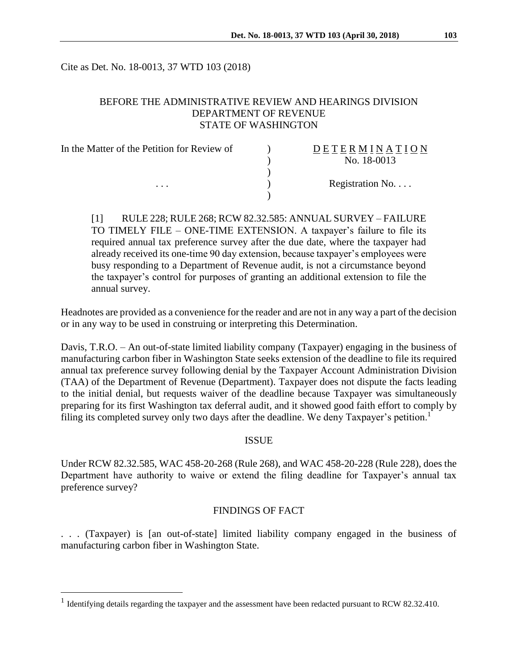Cite as Det. No. 18-0013, 37 WTD 103 (2018)

## BEFORE THE ADMINISTRATIVE REVIEW AND HEARINGS DIVISION DEPARTMENT OF REVENUE STATE OF WASHINGTON

| In the Matter of the Petition for Review of | DETERMINATION   |
|---------------------------------------------|-----------------|
|                                             | No. 18-0013     |
|                                             |                 |
| $\cdots$                                    | Registration No |
|                                             |                 |

[1] RULE 228; RULE 268; RCW 82.32.585: ANNUAL SURVEY – FAILURE TO TIMELY FILE – ONE-TIME EXTENSION. A taxpayer's failure to file its required annual tax preference survey after the due date, where the taxpayer had already received its one-time 90 day extension, because taxpayer's employees were busy responding to a Department of Revenue audit, is not a circumstance beyond the taxpayer's control for purposes of granting an additional extension to file the annual survey.

Headnotes are provided as a convenience for the reader and are not in any way a part of the decision or in any way to be used in construing or interpreting this Determination.

Davis, T.R.O. – An out-of-state limited liability company (Taxpayer) engaging in the business of manufacturing carbon fiber in Washington State seeks extension of the deadline to file its required annual tax preference survey following denial by the Taxpayer Account Administration Division (TAA) of the Department of Revenue (Department). Taxpayer does not dispute the facts leading to the initial denial, but requests waiver of the deadline because Taxpayer was simultaneously preparing for its first Washington tax deferral audit, and it showed good faith effort to comply by filing its completed survey only two days after the deadline. We deny Taxpayer's petition.<sup>1</sup>

#### **ISSUE**

Under RCW 82.32.585, WAC 458-20-268 (Rule 268), and WAC 458-20-228 (Rule 228), does the Department have authority to waive or extend the filing deadline for Taxpayer's annual tax preference survey?

## FINDINGS OF FACT

. . . (Taxpayer) is [an out-of-state] limited liability company engaged in the business of manufacturing carbon fiber in Washington State.

 $\overline{a}$ 

<sup>&</sup>lt;sup>1</sup> Identifying details regarding the taxpayer and the assessment have been redacted pursuant to RCW 82.32.410.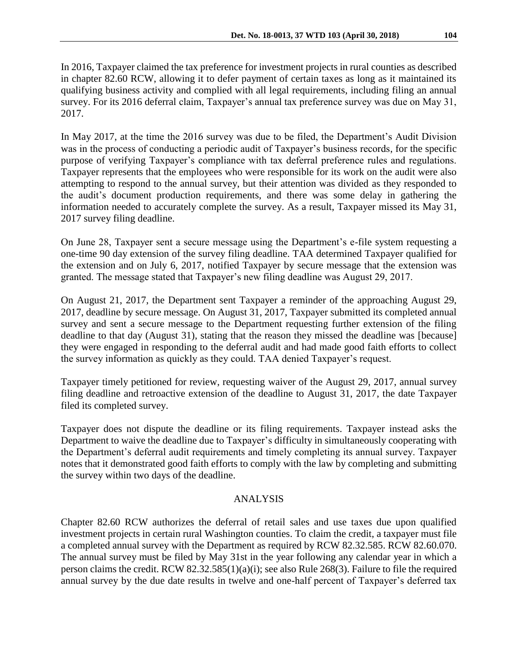In 2016, Taxpayer claimed the tax preference for investment projects in rural counties as described in chapter 82.60 RCW, allowing it to defer payment of certain taxes as long as it maintained its qualifying business activity and complied with all legal requirements, including filing an annual survey. For its 2016 deferral claim, Taxpayer's annual tax preference survey was due on May 31, 2017.

In May 2017, at the time the 2016 survey was due to be filed, the Department's Audit Division was in the process of conducting a periodic audit of Taxpayer's business records, for the specific purpose of verifying Taxpayer's compliance with tax deferral preference rules and regulations. Taxpayer represents that the employees who were responsible for its work on the audit were also attempting to respond to the annual survey, but their attention was divided as they responded to the audit's document production requirements, and there was some delay in gathering the information needed to accurately complete the survey. As a result, Taxpayer missed its May 31, 2017 survey filing deadline.

On June 28, Taxpayer sent a secure message using the Department's e-file system requesting a one-time 90 day extension of the survey filing deadline. TAA determined Taxpayer qualified for the extension and on July 6, 2017, notified Taxpayer by secure message that the extension was granted. The message stated that Taxpayer's new filing deadline was August 29, 2017.

On August 21, 2017, the Department sent Taxpayer a reminder of the approaching August 29, 2017, deadline by secure message. On August 31, 2017, Taxpayer submitted its completed annual survey and sent a secure message to the Department requesting further extension of the filing deadline to that day (August 31), stating that the reason they missed the deadline was [because] they were engaged in responding to the deferral audit and had made good faith efforts to collect the survey information as quickly as they could. TAA denied Taxpayer's request.

Taxpayer timely petitioned for review, requesting waiver of the August 29, 2017, annual survey filing deadline and retroactive extension of the deadline to August 31, 2017, the date Taxpayer filed its completed survey.

Taxpayer does not dispute the deadline or its filing requirements. Taxpayer instead asks the Department to waive the deadline due to Taxpayer's difficulty in simultaneously cooperating with the Department's deferral audit requirements and timely completing its annual survey. Taxpayer notes that it demonstrated good faith efforts to comply with the law by completing and submitting the survey within two days of the deadline.

## ANALYSIS

Chapter 82.60 RCW authorizes the deferral of retail sales and use taxes due upon qualified investment projects in certain rural Washington counties. To claim the credit, a taxpayer must file a completed annual survey with the Department as required by RCW 82.32.585. RCW 82.60.070. The annual survey must be filed by May 31st in the year following any calendar year in which a person claims the credit. RCW 82.32.585(1)(a)(i); see also Rule 268(3). Failure to file the required annual survey by the due date results in twelve and one-half percent of Taxpayer's deferred tax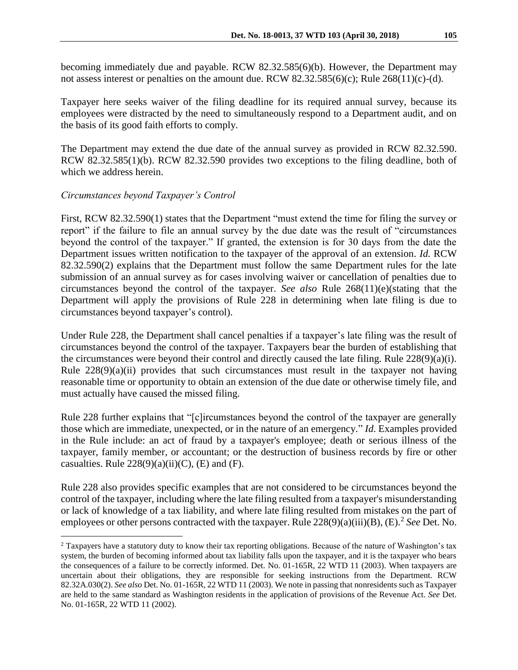becoming immediately due and payable. RCW 82.32.585(6)(b). However, the Department may not assess interest or penalties on the amount due. RCW 82.32.585(6)(c); Rule 268(11)(c)-(d).

Taxpayer here seeks waiver of the filing deadline for its required annual survey, because its employees were distracted by the need to simultaneously respond to a Department audit, and on the basis of its good faith efforts to comply.

The Department may extend the due date of the annual survey as provided in RCW 82.32.590. RCW 82.32.585(1)(b). RCW 82.32.590 provides two exceptions to the filing deadline, both of which we address herein.

#### *Circumstances beyond Taxpayer's Control*

 $\overline{a}$ 

First, RCW 82.32.590(1) states that the Department "must extend the time for filing the survey or report" if the failure to file an annual survey by the due date was the result of "circumstances beyond the control of the taxpayer." If granted, the extension is for 30 days from the date the Department issues written notification to the taxpayer of the approval of an extension. *Id.* RCW 82.32.590(2) explains that the Department must follow the same Department rules for the late submission of an annual survey as for cases involving waiver or cancellation of penalties due to circumstances beyond the control of the taxpayer. *See also* Rule 268(11)(e)(stating that the Department will apply the provisions of Rule 228 in determining when late filing is due to circumstances beyond taxpayer's control).

Under Rule 228, the Department shall cancel penalties if a taxpayer's late filing was the result of circumstances beyond the control of the taxpayer. Taxpayers bear the burden of establishing that the circumstances were beyond their control and directly caused the late filing. Rule 228(9)(a)(i). Rule 228(9)(a)(ii) provides that such circumstances must result in the taxpayer not having reasonable time or opportunity to obtain an extension of the due date or otherwise timely file, and must actually have caused the missed filing.

Rule 228 further explains that "[c]ircumstances beyond the control of the taxpayer are generally those which are immediate, unexpected, or in the nature of an emergency." *Id*. Examples provided in the Rule include: an act of fraud by a taxpayer's employee; death or serious illness of the taxpayer, family member, or accountant; or the destruction of business records by fire or other casualties. Rule  $228(9)(a)(ii)(C)$ , (E) and (F).

Rule 228 also provides specific examples that are not considered to be circumstances beyond the control of the taxpayer, including where the late filing resulted from a taxpayer's misunderstanding or lack of knowledge of a tax liability, and where late filing resulted from mistakes on the part of employees or other persons contracted with the taxpayer. Rule 228(9)(a)(iii)(B), (E).<sup>2</sup> See Det. No.

<sup>&</sup>lt;sup>2</sup> Taxpayers have a statutory duty to know their tax reporting obligations. Because of the nature of Washington's tax system, the burden of becoming informed about tax liability falls upon the taxpayer, and it is the taxpayer who bears the consequences of a failure to be correctly informed. Det. No. 01-165R, 22 WTD 11 (2003). When taxpayers are uncertain about their obligations, they are responsible for seeking instructions from the Department. RCW 82.32A.030(2). *See also* Det. No. 01-165R, 22 WTD 11 (2003). We note in passing that nonresidents such as Taxpayer are held to the same standard as Washington residents in the application of provisions of the Revenue Act. *See* Det. No. 01-165R, 22 WTD 11 (2002).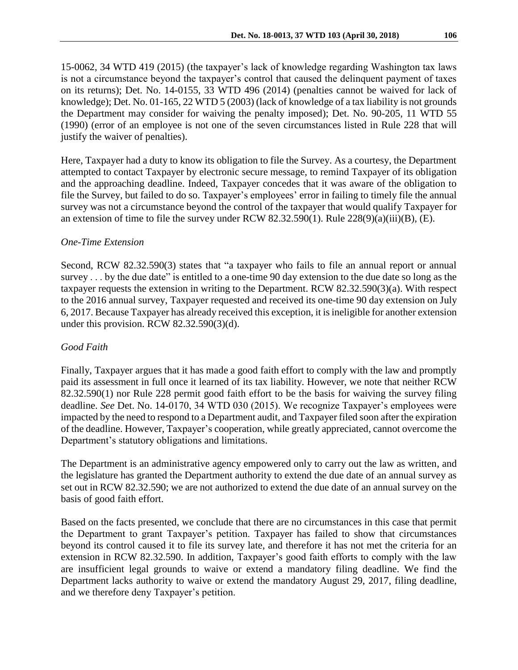15-0062, 34 WTD 419 (2015) (the taxpayer's lack of knowledge regarding Washington tax laws is not a circumstance beyond the taxpayer's control that caused the delinquent payment of taxes on its returns); Det. No. 14-0155, 33 WTD 496 (2014) (penalties cannot be waived for lack of knowledge); Det. No. 01-165, 22 WTD 5 (2003) (lack of knowledge of a tax liability is not grounds the Department may consider for waiving the penalty imposed); Det. No. 90-205, 11 WTD 55

Here, Taxpayer had a duty to know its obligation to file the Survey. As a courtesy, the Department attempted to contact Taxpayer by electronic secure message, to remind Taxpayer of its obligation and the approaching deadline. Indeed, Taxpayer concedes that it was aware of the obligation to file the Survey, but failed to do so. Taxpayer's employees' error in failing to timely file the annual survey was not a circumstance beyond the control of the taxpayer that would qualify Taxpayer for an extension of time to file the survey under RCW 82.32.590(1). Rule 228(9)(a)(iii)(B), (E).

(1990) (error of an employee is not one of the seven circumstances listed in Rule 228 that will

# *One-Time Extension*

justify the waiver of penalties).

Second, RCW 82.32.590(3) states that "a taxpayer who fails to file an annual report or annual survey . . . by the due date" is entitled to a one-time 90 day extension to the due date so long as the taxpayer requests the extension in writing to the Department. RCW 82.32.590(3)(a). With respect to the 2016 annual survey, Taxpayer requested and received its one-time 90 day extension on July 6, 2017. Because Taxpayer has already received this exception, it is ineligible for another extension under this provision. RCW 82.32.590(3)(d).

# *Good Faith*

Finally, Taxpayer argues that it has made a good faith effort to comply with the law and promptly paid its assessment in full once it learned of its tax liability. However, we note that neither RCW 82.32.590(1) nor Rule 228 permit good faith effort to be the basis for waiving the survey filing deadline. *See* Det. No. 14-0170, 34 WTD 030 (2015). We recognize Taxpayer's employees were impacted by the need to respond to a Department audit, and Taxpayer filed soon after the expiration of the deadline. However, Taxpayer's cooperation, while greatly appreciated, cannot overcome the Department's statutory obligations and limitations.

The Department is an administrative agency empowered only to carry out the law as written, and the legislature has granted the Department authority to extend the due date of an annual survey as set out in RCW 82.32.590; we are not authorized to extend the due date of an annual survey on the basis of good faith effort.

Based on the facts presented, we conclude that there are no circumstances in this case that permit the Department to grant Taxpayer's petition. Taxpayer has failed to show that circumstances beyond its control caused it to file its survey late, and therefore it has not met the criteria for an extension in RCW 82.32.590. In addition, Taxpayer's good faith efforts to comply with the law are insufficient legal grounds to waive or extend a mandatory filing deadline. We find the Department lacks authority to waive or extend the mandatory August 29, 2017, filing deadline, and we therefore deny Taxpayer's petition.